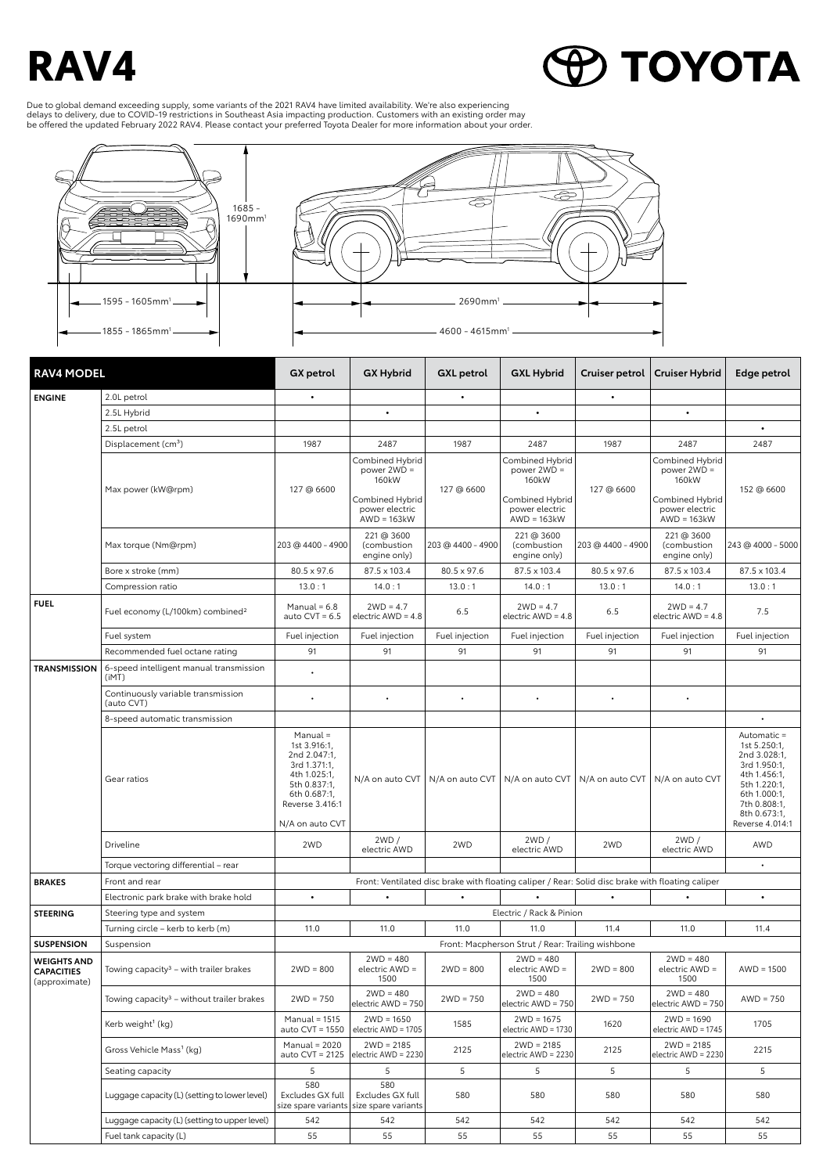## **RAV4**

**O TOYOTA** 

Due to global demand exceeding supply, some variants of the 2021 RAV4 have limited availability. We're also experiencing<br>delays to delivery, due to COVID-19 restrictions in Southeast Asia impacting production. Customers wi



| <b>RAV4 MODEL</b>                                        |                                                       | GX petrol                                                                                                                   | <b>GX Hybrid</b>                                             | <b>GXL</b> petrol | <b>GXL Hybrid</b>                                                                                 | Cruiser petrol                    | <b>Cruiser Hybrid</b>                                        | Edge petrol                                                                                                                                 |
|----------------------------------------------------------|-------------------------------------------------------|-----------------------------------------------------------------------------------------------------------------------------|--------------------------------------------------------------|-------------------|---------------------------------------------------------------------------------------------------|-----------------------------------|--------------------------------------------------------------|---------------------------------------------------------------------------------------------------------------------------------------------|
| <b>ENGINE</b>                                            | 2.0L petrol                                           | $\bullet$                                                                                                                   |                                                              | $\bullet$         |                                                                                                   | $\bullet$                         |                                                              |                                                                                                                                             |
|                                                          | 2.5L Hybrid                                           |                                                                                                                             | $\bullet$                                                    |                   | $\bullet$                                                                                         |                                   | $\bullet$                                                    |                                                                                                                                             |
|                                                          | 2.5L petrol                                           |                                                                                                                             |                                                              |                   |                                                                                                   |                                   |                                                              | $\bullet$                                                                                                                                   |
|                                                          | Displacement (cm <sup>3</sup> )                       | 1987                                                                                                                        | 2487                                                         | 1987              | 2487                                                                                              | 1987                              | 2487                                                         | 2487                                                                                                                                        |
|                                                          | Max power (kW@rpm)                                    | 127 @ 6600                                                                                                                  | Combined Hybrid<br>power $2WD =$<br>160kW<br>Combined Hybrid | 127 @ 6600        | Combined Hybrid<br>power $2WD =$<br>160kW<br>Combined Hybrid                                      | 127 @ 6600                        | Combined Hybrid<br>power $2WD =$<br>160kW<br>Combined Hybrid | 152 @ 6600                                                                                                                                  |
|                                                          |                                                       |                                                                                                                             | power electric<br>$AWD = 163kW$                              |                   | power electric<br>$AWD = 163kW$                                                                   |                                   | power electric<br>$AWD = 163kW$                              |                                                                                                                                             |
|                                                          | Max torque (Nm@rpm)                                   | 203 @ 4400 - 4900                                                                                                           | 221 @ 3600<br>(combustion<br>engine only)                    | 203 @ 4400 - 4900 | 221 @ 3600<br>(combustion<br>engine only)                                                         | 203 @ 4400 - 4900                 | 221 @ 3600<br>(combustion<br>engine only)                    | 243 @ 4000 - 5000                                                                                                                           |
|                                                          | Bore x stroke (mm)                                    | 80.5 x 97.6                                                                                                                 | 87.5 x 103.4                                                 | 80.5 x 97.6       | 87.5 x 103.4                                                                                      | 80.5 x 97.6                       | 87.5 x 103.4                                                 | 87.5 x 103.4                                                                                                                                |
|                                                          | Compression ratio                                     | 13.0:1                                                                                                                      | 14.0:1                                                       | 13.0:1            | 14.0:1                                                                                            | 13.0:1                            | 14.0:1                                                       | 13.0:1                                                                                                                                      |
| <b>FUEL</b>                                              | Fuel economy (L/100km) combined <sup>2</sup>          | Manual = $6.8$<br>auto $CVT = 6.5$                                                                                          | $2WD = 4.7$<br>electric AWD = 4.8                            | 6.5               | $2WD = 4.7$<br>electric $AWD = 4.8$                                                               | 6.5                               | $2WD = 4.7$<br>electric $AWD = 4.8$                          | 7.5                                                                                                                                         |
|                                                          | Fuel system                                           | Fuel injection                                                                                                              | Fuel injection                                               | Fuel injection    | Fuel injection                                                                                    | Fuel injection                    | Fuel injection                                               | Fuel injection                                                                                                                              |
|                                                          | Recommended fuel octane rating                        | 91                                                                                                                          | 91                                                           | 91                | 91                                                                                                | 91                                | 91                                                           | 91                                                                                                                                          |
| <b>TRANSMISSION</b>                                      | 6-speed intelligent manual transmission<br>(iMT)      |                                                                                                                             |                                                              |                   |                                                                                                   |                                   |                                                              |                                                                                                                                             |
|                                                          | Continuously variable transmission<br>(auto CVT)      |                                                                                                                             | $\bullet$                                                    | ٠                 | $\bullet$                                                                                         | $\bullet$                         |                                                              |                                                                                                                                             |
|                                                          | 8-speed automatic transmission                        |                                                                                                                             |                                                              |                   |                                                                                                   |                                   |                                                              |                                                                                                                                             |
|                                                          | Gear ratios                                           | Manual =<br>1st 3.916:1,<br>2nd 2.047:1,<br>3rd 1.371:1,<br>4th 1.025:1,<br>5th 0.837:1,<br>6th 0.687:1,<br>Reverse 3.416:1 | N/A on auto CVT                                              | N/A on auto CVT   |                                                                                                   | N/A on auto CVT   N/A on auto CVT | N/A on auto CVT                                              | Automatic =<br>1st 5.250:1.<br>2nd 3.028:1,<br>3rd 1.950:1,<br>4th 1.456:1,<br>5th 1.220:1,<br>6th 1.000:1,<br>7th 0.808:1,<br>8th 0.673:1, |
|                                                          |                                                       | N/A on auto CVT                                                                                                             |                                                              |                   |                                                                                                   |                                   |                                                              | Reverse 4.014:1                                                                                                                             |
|                                                          | Driveline                                             | 2WD                                                                                                                         | 2WD/<br>electric AWD                                         | 2WD               | 2WD/<br>electric AWD                                                                              | 2WD                               | 2WD/<br>electric AWD                                         | AWD                                                                                                                                         |
|                                                          | Torque vectoring differential - rear                  |                                                                                                                             |                                                              |                   |                                                                                                   |                                   |                                                              | $\bullet$                                                                                                                                   |
| <b>BRAKES</b>                                            | Front and rear                                        |                                                                                                                             |                                                              |                   | Front: Ventilated disc brake with floating caliper / Rear: Solid disc brake with floating caliper |                                   |                                                              |                                                                                                                                             |
|                                                          | Electronic park brake with brake hold                 | $\bullet$                                                                                                                   | $\bullet$                                                    | $\bullet$         |                                                                                                   | $\bullet$                         |                                                              | $\bullet$                                                                                                                                   |
| <b>STEERING</b>                                          | Steering type and system                              |                                                                                                                             |                                                              |                   | Electric / Rack & Pinion                                                                          |                                   |                                                              |                                                                                                                                             |
|                                                          | Turning circle - kerb to kerb (m)                     | 11.0                                                                                                                        | 11.0                                                         | 11.0              | 11.0                                                                                              | 11.4                              | 11.0                                                         | 11.4                                                                                                                                        |
| <b>SUSPENSION</b>                                        | Suspension                                            | Front: Macpherson Strut / Rear: Trailing wishbone                                                                           |                                                              |                   |                                                                                                   |                                   |                                                              |                                                                                                                                             |
| <b>WEIGHTS AND</b><br><b>CAPACITIES</b><br>(approximate) | Towing capacity <sup>3</sup> - with trailer brakes    | $2WD = 800$                                                                                                                 | $2WD = 480$<br>electric AWD =<br>1500                        | $2WD = 800$       | $2WD = 480$<br>electric AWD =<br>1500                                                             | $2WD = 800$                       | $2WD = 480$<br>electric AWD =<br>1500                        | $AWD = 1500$                                                                                                                                |
|                                                          | Towing capacity <sup>3</sup> - without trailer brakes | $2WD = 750$                                                                                                                 | $2WD = 480$<br>electric AWD = 750                            | $2WD = 750$       | $2WD = 480$<br>electric AWD = 750                                                                 | $2WD = 750$                       | $2WD = 480$<br>electric AWD = 750                            | $AWD = 750$                                                                                                                                 |
|                                                          | Kerb weight <sup>1</sup> (kg)                         | Manual = $1515$<br>auto CVT = 1550                                                                                          | $2WD = 1650$<br>electric AWD = 1705                          | 1585              | $2WD = 1675$<br>electric AWD = 1730                                                               | 1620                              | $2WD = 1690$<br>electric AWD = 1745                          | 1705                                                                                                                                        |
|                                                          | Gross Vehicle Mass <sup>1</sup> (kg)                  | Manual = $2020$<br>auto CVT = 2125                                                                                          | $2WD = 2185$<br>electric AWD = 2230                          | 2125              | $2WD = 2185$<br>electric AWD = 2230                                                               | 2125                              | $2WD = 2185$<br>electric AWD = 2230                          | 2215                                                                                                                                        |
|                                                          | Seating capacity                                      | 5                                                                                                                           | 5                                                            | 5                 | 5                                                                                                 | 5                                 | 5                                                            | 5                                                                                                                                           |
|                                                          | Luggage capacity (L) (setting to lower level)         | 580<br>Excludes GX full<br>size spare variants                                                                              | 580<br>Excludes GX full<br>size spare variants               | 580               | 580                                                                                               | 580                               | 580                                                          | 580                                                                                                                                         |
|                                                          | Luggage capacity (L) (setting to upper level)         | 542                                                                                                                         | 542                                                          | 542               | 542                                                                                               | 542                               | 542                                                          | 542                                                                                                                                         |
|                                                          | Fuel tank capacity (L)                                | 55                                                                                                                          | 55                                                           | 55                | 55                                                                                                | 55                                | 55                                                           | 55                                                                                                                                          |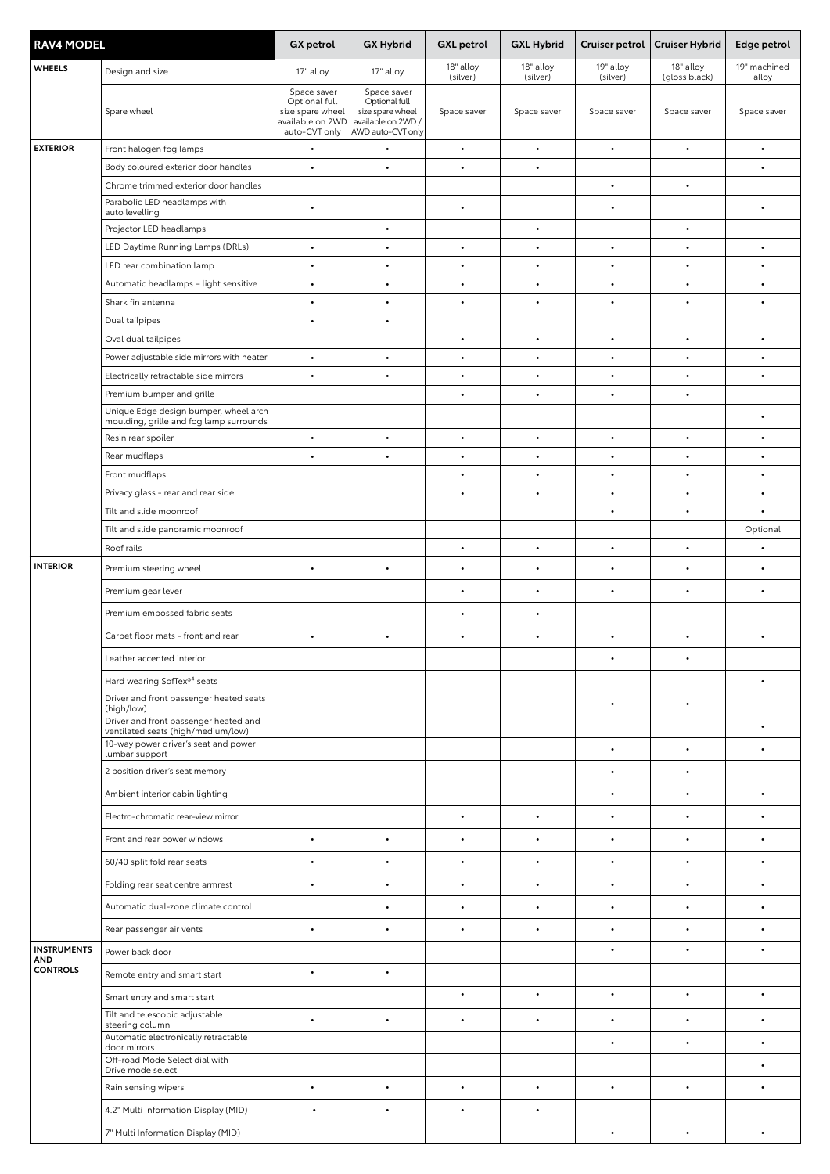| <b>RAV4 MODEL</b>      |                                                                                                                                      | GX petrol                                                                             | <b>GX Hybrid</b>                                                                            | <b>GXL</b> petrol     | <b>GXL Hybrid</b>     | Cruiser petrol        | <b>Cruiser Hybrid</b>      | Edge petrol           |
|------------------------|--------------------------------------------------------------------------------------------------------------------------------------|---------------------------------------------------------------------------------------|---------------------------------------------------------------------------------------------|-----------------------|-----------------------|-----------------------|----------------------------|-----------------------|
| <b>WHEELS</b>          | Design and size                                                                                                                      | 17" alloy                                                                             | 17" alloy                                                                                   | 18" alloy<br>(silver) | 18" alloy<br>(silver) | 19" alloy<br>(silver) | 18" alloy<br>(gloss black) | 19" machined<br>alloy |
|                        | Spare wheel                                                                                                                          | Space saver<br>Optional full<br>size spare wheel<br>available on 2WD<br>auto-CVT only | Space saver<br>Optional full<br>size spare wheel<br>available on 2WD /<br>AWD auto-CVT only | Space saver           | Space saver           | Space saver           | Space saver                | Space saver           |
| <b>EXTERIOR</b>        | Front halogen fog lamps                                                                                                              | $\bullet$                                                                             | $\bullet$                                                                                   | $\bullet$             | $\bullet$             | $\bullet$             |                            | $\bullet$             |
|                        | Body coloured exterior door handles                                                                                                  | $\bullet$                                                                             | $\bullet$                                                                                   | $\bullet$             | $\bullet$             |                       |                            | $\bullet$             |
|                        | Chrome trimmed exterior door handles                                                                                                 |                                                                                       |                                                                                             |                       |                       | $\bullet$             | $\bullet$                  |                       |
|                        | Parabolic LED headlamps with<br>auto levelling                                                                                       | $\bullet$                                                                             |                                                                                             | $\bullet$             |                       | ٠                     |                            | $\bullet$             |
|                        | Projector LED headlamps                                                                                                              |                                                                                       | $\bullet$                                                                                   |                       | $\bullet$             |                       | $\bullet$                  |                       |
|                        | LED Daytime Running Lamps (DRLs)                                                                                                     | $\bullet$                                                                             | $\bullet$                                                                                   | $\bullet$             | $\bullet$             | $\bullet$             | $\bullet$                  | $\bullet$             |
|                        | LED rear combination lamp                                                                                                            | $\bullet$                                                                             | $\bullet$                                                                                   | $\bullet$             | $\bullet$             | $\bullet$             | $\bullet$                  | $\bullet$             |
|                        | Automatic headlamps - light sensitive                                                                                                | $\bullet$                                                                             | $\bullet$                                                                                   | $\bullet$             | $\bullet$             | $\bullet$             | $\bullet$                  | $\bullet$             |
|                        | Shark fin antenna                                                                                                                    | $\bullet$                                                                             | $\bullet$                                                                                   | $\bullet$             | $\bullet$             | $\bullet$             | $\bullet$                  | $\bullet$             |
|                        | Dual tailpipes                                                                                                                       | $\bullet$                                                                             | $\bullet$                                                                                   |                       |                       |                       |                            |                       |
|                        | Oval dual tailpipes                                                                                                                  |                                                                                       |                                                                                             | $\bullet$             | $\bullet$             | $\bullet$             | $\bullet$                  | $\bullet$             |
|                        | Power adjustable side mirrors with heater                                                                                            | $\bullet$                                                                             | $\bullet$                                                                                   | $\bullet$             | $\bullet$             | $\bullet$             | $\bullet$                  | $\bullet$             |
|                        | Electrically retractable side mirrors                                                                                                | $\bullet$                                                                             | $\bullet$                                                                                   | $\bullet$             | $\bullet$             | $\bullet$             | $\bullet$                  | $\bullet$             |
|                        | Premium bumper and grille<br>Unique Edge design bumper, wheel arch<br>moulding, grille and fog lamp surrounds                        |                                                                                       |                                                                                             | $\bullet$             | $\bullet$             | $\bullet$             | $\bullet$                  | $\bullet$             |
|                        | Resin rear spoiler                                                                                                                   | $\bullet$                                                                             | $\bullet$                                                                                   | $\bullet$             | $\bullet$             | $\bullet$             | $\bullet$                  | $\bullet$             |
|                        | Rear mudflaps                                                                                                                        | $\bullet$                                                                             | $\bullet$                                                                                   | $\bullet$             | $\bullet$             | $\bullet$             | $\bullet$                  | $\bullet$             |
|                        | Front mudflaps                                                                                                                       |                                                                                       |                                                                                             | $\bullet$             | $\bullet$             | $\bullet$             | $\bullet$                  | $\bullet$             |
|                        | Privacy glass - rear and rear side                                                                                                   |                                                                                       |                                                                                             | $\bullet$             | $\bullet$             | $\bullet$             |                            | $\bullet$             |
|                        | Tilt and slide moonroof                                                                                                              |                                                                                       |                                                                                             |                       |                       | $\bullet$             | $\bullet$                  | $\bullet$             |
|                        | Tilt and slide panoramic moonroof                                                                                                    |                                                                                       |                                                                                             |                       |                       |                       |                            | Optional              |
|                        | Roof rails                                                                                                                           |                                                                                       |                                                                                             | $\bullet$             | $\bullet$             | $\bullet$             | $\bullet$                  | $\bullet$             |
| <b>INTERIOR</b>        | Premium steering wheel                                                                                                               | $\bullet$                                                                             | $\bullet$                                                                                   | $\bullet$             | $\bullet$             | $\bullet$             | $\bullet$                  | $\bullet$             |
|                        | Premium gear lever                                                                                                                   |                                                                                       |                                                                                             | $\bullet$             | $\bullet$             | $\bullet$             | $\bullet$                  | $\bullet$             |
|                        | Premium embossed fabric seats                                                                                                        |                                                                                       |                                                                                             | $\bullet$             | $\bullet$             |                       |                            |                       |
|                        |                                                                                                                                      | $\bullet$                                                                             | $\bullet$                                                                                   | $\bullet$             | $\bullet$             |                       | $\bullet$                  | $\bullet$             |
|                        | Carpet floor mats - front and rear                                                                                                   |                                                                                       |                                                                                             |                       |                       | $\bullet$             |                            |                       |
|                        | Leather accented interior                                                                                                            |                                                                                       |                                                                                             |                       |                       |                       |                            |                       |
|                        | Hard wearing SofTex® <sup>4</sup> seats                                                                                              |                                                                                       |                                                                                             |                       |                       |                       |                            | $\bullet$             |
|                        | Driver and front passenger heated seats<br>(high/low)<br>Driver and front passenger heated and<br>ventilated seats (high/medium/low) |                                                                                       |                                                                                             |                       |                       | $\bullet$             | $\bullet$                  | $\bullet$             |
|                        | 10-way power driver's seat and power<br>lumbar support                                                                               |                                                                                       |                                                                                             |                       |                       | $\bullet$             | $\bullet$                  | $\bullet$             |
|                        | 2 position driver's seat memory                                                                                                      |                                                                                       |                                                                                             |                       |                       | ٠                     | $\bullet$                  |                       |
|                        | Ambient interior cabin lighting                                                                                                      |                                                                                       |                                                                                             |                       |                       | $\bullet$             | ٠                          | $\bullet$             |
|                        | Electro-chromatic rear-view mirror                                                                                                   |                                                                                       |                                                                                             | $\bullet$             | $\bullet$             | $\bullet$             |                            |                       |
|                        | Front and rear power windows                                                                                                         | $\bullet$                                                                             | $\bullet$                                                                                   | $\bullet$             | $\bullet$             | $\bullet$             | $\bullet$                  | $\bullet$             |
|                        | 60/40 split fold rear seats                                                                                                          | $\bullet$                                                                             | $\bullet$                                                                                   | $\bullet$             | $\bullet$             | $\bullet$             |                            | $\bullet$             |
|                        | Folding rear seat centre armrest                                                                                                     |                                                                                       | $\bullet$                                                                                   | $\bullet$             | $\bullet$             | $\bullet$             | $\bullet$                  | $\bullet$             |
|                        | Automatic dual-zone climate control                                                                                                  |                                                                                       | $\bullet$                                                                                   | $\bullet$             | $\bullet$             | $\bullet$             | $\bullet$                  | $\bullet$             |
|                        | Rear passenger air vents                                                                                                             | $\bullet$                                                                             | $\bullet$                                                                                   | $\bullet$             | $\bullet$             | $\bullet$             | $\bullet$                  | $\bullet$             |
| <b>INSTRUMENTS</b>     |                                                                                                                                      |                                                                                       |                                                                                             |                       |                       | $\bullet$             | $\bullet$                  | $\bullet$             |
| AND<br><b>CONTROLS</b> | Power back door                                                                                                                      | $\bullet$                                                                             | $\bullet$                                                                                   |                       |                       |                       |                            |                       |
|                        | Remote entry and smart start                                                                                                         |                                                                                       |                                                                                             |                       |                       |                       |                            |                       |
|                        | Smart entry and smart start                                                                                                          |                                                                                       |                                                                                             | $\bullet$             | $\bullet$             | $\bullet$             | $\bullet$                  | $\bullet$             |
|                        | Tilt and telescopic adjustable<br>steering column                                                                                    | $\bullet$                                                                             | $\bullet$                                                                                   | $\bullet$             | $\bullet$             | $\bullet$             | $\bullet$                  | $\bullet$             |
|                        | Automatic electronically retractable<br>door mirrors                                                                                 |                                                                                       |                                                                                             |                       |                       | $\bullet$             |                            | $\bullet$             |
|                        | Off-road Mode Select dial with<br>Drive mode select                                                                                  |                                                                                       |                                                                                             |                       |                       |                       |                            | $\bullet$             |
|                        | Rain sensing wipers                                                                                                                  | $\bullet$                                                                             | $\bullet$                                                                                   | $\bullet$             | $\bullet$             | $\bullet$             | $\bullet$                  | $\bullet$             |
|                        | 4.2" Multi Information Display (MID)                                                                                                 | $\bullet$                                                                             | $\bullet$                                                                                   | $\bullet$             | $\bullet$             |                       |                            |                       |
|                        | 7" Multi Information Display (MID)                                                                                                   |                                                                                       |                                                                                             |                       |                       | $\bullet$             |                            |                       |